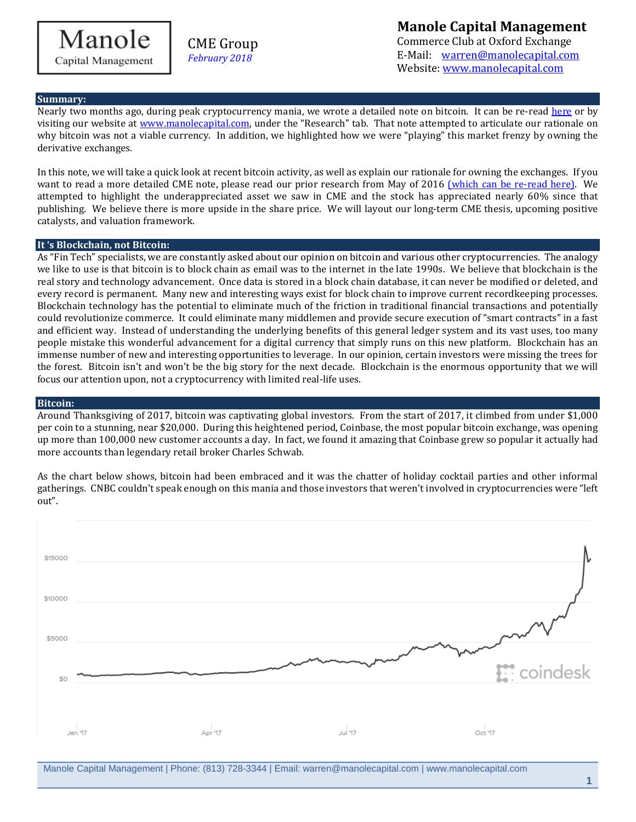Manole Capital Management

CME Group *February 2018*

**Manole Capital Management** Commerce Club at Oxford Exchange E-Mail: [warren@manolecapital.com](mailto:warren@manolecapital.com) Website: [www.manolecapital.com](http://www.manolecapital.com/) 

### **Summary:**

Nearly two months ago, during peak cryptocurrency mania, we wrote a detailed note on bitcoin. It can be re-read [here](https://docs.wixstatic.com/ugd/43315f_4e0fd25ae0de468c99f1005c9c1e849b.pdf) or by visiting our website at [www.manolecapital.com,](http://www.manolecapital.com/) under the "Research" tab. That note attempted to articulate our rationale on why bitcoin was not a viable currency. In addition, we highlighted how we were "playing" this market frenzy by owning the derivative exchanges.

In this note, we will take a quick look at recent bitcoin activity, as well as explain our rationale for owning the exchanges. If you want to read a more detailed CME note, please read our prior research from May of 2016 [\(which can be re-read here\).](https://docs.wixstatic.com/ugd/43315f_414eab457c6a497c9fc3ab105a5231f3.pdf) We attempted to highlight the underappreciated asset we saw in CME and the stock has appreciated nearly 60% since that publishing. We believe there is more upside in the share price. We will layout our long-term CME thesis, upcoming positive catalysts, and valuation framework.

### **It 's Blockchain, not Bitcoin:**

As "Fin Tech" specialists, we are constantly asked about our opinion on bitcoin and various other cryptocurrencies. The analogy we like to use is that bitcoin is to block chain as email was to the internet in the late 1990s. We believe that blockchain is the real story and technology advancement. Once data is stored in a block chain database, it can never be modified or deleted, and every record is permanent. Many new and interesting ways exist for block chain to improve current recordkeeping processes. Blockchain technology has the potential to eliminate much of the friction in traditional financial transactions and potentially could revolutionize commerce. It could eliminate many middlemen and provide secure execution of "smart contracts" in a fast and efficient way. Instead of understanding the underlying benefits of this general ledger system and its vast uses, too many people mistake this wonderful advancement for a digital currency that simply runs on this new platform. Blockchain has an immense number of new and interesting opportunities to leverage. In our opinion, certain investors were missing the trees for the forest. Bitcoin isn't and won't be the big story for the next decade. Blockchain is the enormous opportunity that we will focus our attention upon, not a cryptocurrency with limited real-life uses.

### **Bitcoin:**

Around Thanksgiving of 2017, bitcoin was captivating global investors. From the start of 2017, it climbed from under \$1,000 per coin to a stunning, near \$20,000. During this heightened period, Coinbase, the most popular bitcoin exchange, was opening up more than 100,000 new customer accounts a day. In fact, we found it amazing that Coinbase grew so popular it actually had more accounts than legendary retail broker Charles Schwab.

As the chart below shows, bitcoin had been embraced and it was the chatter of holiday cocktail parties and other informal gatherings. CNBC couldn't speak enough on this mania and those investors that weren't involved in cryptocurrencies were "left out".



Manole Capital Management | Phone: (813) 728-3344 | Email: warren@manolecapital.com | www.manolecapital.com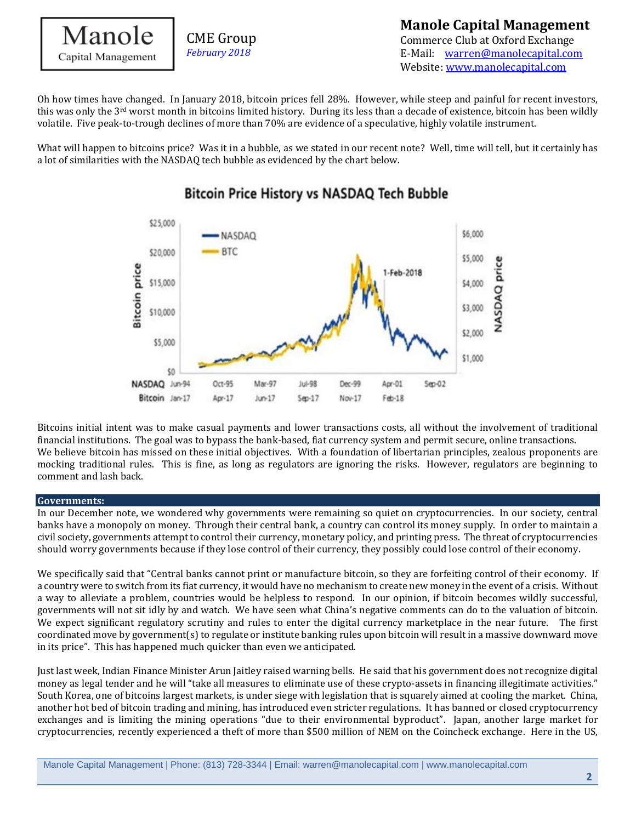

Oh how times have changed. In January 2018, bitcoin prices fell 28%. However, while steep and painful for recent investors, this was only the 3<sup>rd</sup> worst month in bitcoins limited history. During its less than a decade of existence, bitcoin has been wildly volatile. Five peak-to-trough declines of more than 70% are evidence of a speculative, highly volatile instrument.

What will happen to bitcoins price? Was it in a bubble, as we stated in our recent note? Well, time will tell, but it certainly has a lot of similarities with the NASDAQ tech bubble as evidenced by the chart below.



# **Bitcoin Price History vs NASDAQ Tech Bubble**

Bitcoins initial intent was to make casual payments and lower transactions costs, all without the involvement of traditional financial institutions. The goal was to bypass the bank-based, fiat currency system and permit secure, online transactions. We believe bitcoin has missed on these initial objectives. With a foundation of libertarian principles, zealous proponents are mocking traditional rules. This is fine, as long as regulators are ignoring the risks. However, regulators are beginning to comment and lash back.

### **Governments:**

In our December note, we wondered why governments were remaining so quiet on cryptocurrencies. In our society, central banks have a monopoly on money. Through their central bank, a country can control its money supply. In order to maintain a civil society, governments attempt to control their currency, monetary policy, and printing press. The threat of cryptocurrencies should worry governments because if they lose control of their currency, they possibly could lose control of their economy.

We specifically said that "Central banks cannot print or manufacture bitcoin, so they are forfeiting control of their economy. If a country were to switch from its fiat currency, it would have no mechanism to create new money in the event of a crisis. Without a way to alleviate a problem, countries would be helpless to respond. In our opinion, if bitcoin becomes wildly successful, governments will not sit idly by and watch. We have seen what China's negative comments can do to the valuation of bitcoin. We expect significant regulatory scrutiny and rules to enter the digital currency marketplace in the near future. The first coordinated move by government(s) to regulate or institute banking rules upon bitcoin will result in a massive downward move in its price". This has happened much quicker than even we anticipated.

Just last week, Indian Finance Minister Arun Jaitley raised warning bells. He said that his government does not recognize digital money as legal tender and he will "take all measures to eliminate use of these crypto-assets in financing illegitimate activities." South Korea, one of bitcoins largest markets, is under siege with legislation that is squarely aimed at cooling the market. China, another hot bed of bitcoin trading and mining, has introduced even stricter regulations. It has banned or closed cryptocurrency exchanges and is limiting the mining operations "due to their environmental byproduct". Japan, another large market for cryptocurrencies, recently experienced a theft of more than \$500 million of NEM on the Coincheck exchange. Here in the US,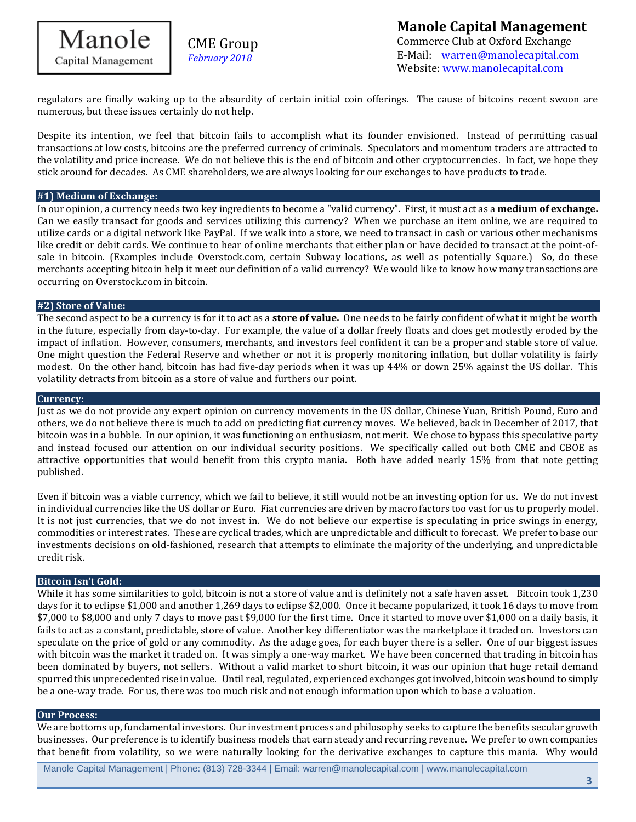

regulators are finally waking up to the absurdity of certain initial coin offerings. The cause of bitcoins recent swoon are numerous, but these issues certainly do not help.

Despite its intention, we feel that bitcoin fails to accomplish what its founder envisioned. Instead of permitting casual transactions at low costs, bitcoins are the preferred currency of criminals. Speculators and momentum traders are attracted to the volatility and price increase. We do not believe this is the end of bitcoin and other cryptocurrencies. In fact, we hope they stick around for decades. As CME shareholders, we are always looking for our exchanges to have products to trade.

### **#1) Medium of Exchange:**

In our opinion, a currency needs two key ingredients to become a "valid currency". First, it must act as a **medium of exchange.** Can we easily transact for goods and services utilizing this currency? When we purchase an item online, we are required to utilize cards or a digital network like PayPal. If we walk into a store, we need to transact in cash or various other mechanisms like credit or debit cards. We continue to hear of online merchants that either plan or have decided to transact at the point-ofsale in bitcoin. (Examples include Overstock.com, certain Subway locations, as well as potentially Square.) So, do these merchants accepting bitcoin help it meet our definition of a valid currency? We would like to know how many transactions are occurring on Overstock.com in bitcoin.

#### **#2) Store of Value:**

The second aspect to be a currency is for it to act as a **store of value.** One needs to be fairly confident of what it might be worth in the future, especially from day-to-day. For example, the value of a dollar freely floats and does get modestly eroded by the impact of inflation. However, consumers, merchants, and investors feel confident it can be a proper and stable store of value. One might question the Federal Reserve and whether or not it is properly monitoring inflation, but dollar volatility is fairly modest. On the other hand, bitcoin has had five-day periods when it was up 44% or down 25% against the US dollar. This volatility detracts from bitcoin as a store of value and furthers our point.

### **Currency:**

Just as we do not provide any expert opinion on currency movements in the US dollar, Chinese Yuan, British Pound, Euro and others, we do not believe there is much to add on predicting fiat currency moves. We believed, back in December of 2017, that bitcoin was in a bubble. In our opinion, it was functioning on enthusiasm, not merit. We chose to bypass this speculative party and instead focused our attention on our individual security positions. We specifically called out both CME and CBOE as attractive opportunities that would benefit from this crypto mania. Both have added nearly 15% from that note getting published.

Even if bitcoin was a viable currency, which we fail to believe, it still would not be an investing option for us. We do not invest in individual currencies like the US dollar or Euro. Fiat currencies are driven by macro factors too vast for us to properly model. It is not just currencies, that we do not invest in. We do not believe our expertise is speculating in price swings in energy, commodities or interest rates. These are cyclical trades, which are unpredictable and difficult to forecast. We prefer to base our investments decisions on old-fashioned, research that attempts to eliminate the majority of the underlying, and unpredictable credit risk.

### **Bitcoin Isn't Gold:**

While it has some similarities to gold, bitcoin is not a store of value and is definitely not a safe haven asset. Bitcoin took 1,230 days for it to eclipse \$1,000 and another 1,269 days to eclipse \$2,000. Once it became popularized, it took 16 days to move from \$7,000 to \$8,000 and only 7 days to move past \$9,000 for the first time. Once it started to move over \$1,000 on a daily basis, it fails to act as a constant, predictable, store of value. Another key differentiator was the marketplace it traded on. Investors can speculate on the price of gold or any commodity. As the adage goes, for each buyer there is a seller. One of our biggest issues with bitcoin was the market it traded on. It was simply a one-way market. We have been concerned that trading in bitcoin has been dominated by buyers, not sellers. Without a valid market to short bitcoin, it was our opinion that huge retail demand spurred this unprecedented rise in value. Until real, regulated, experienced exchanges got involved, bitcoin was bound to simply be a one-way trade. For us, there was too much risk and not enough information upon which to base a valuation.

#### **Our Process:**

We are bottoms up, fundamental investors. Our investment process and philosophy seeks to capture the benefits secular growth businesses. Our preference is to identify business models that earn steady and recurring revenue. We prefer to own companies that benefit from volatility, so we were naturally looking for the derivative exchanges to capture this mania. Why would

Manole Capital Management | Phone: (813) 728-3344 | Email: warren@manolecapital.com | www.manolecapital.com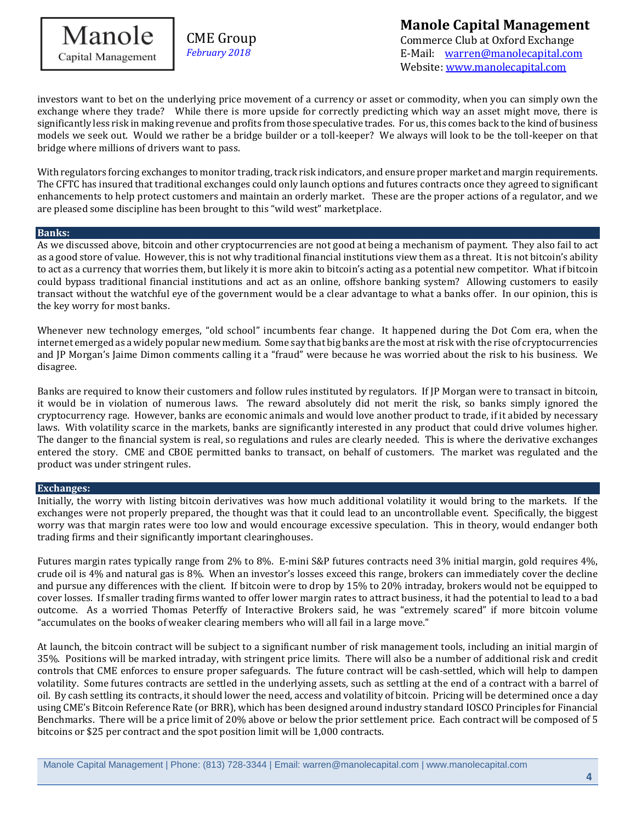

# **Manole Capital Management**

Commerce Club at Oxford Exchange E-Mail: [warren@manolecapital.com](mailto:warren@manolecapital.com) Website: [www.manolecapital.com](http://www.manolecapital.com/) 

investors want to bet on the underlying price movement of a currency or asset or commodity, when you can simply own the exchange where they trade? While there is more upside for correctly predicting which way an asset might move, there is significantly less risk in making revenue and profits from those speculative trades. For us, this comes back to the kind of business models we seek out. Would we rather be a bridge builder or a toll-keeper? We always will look to be the toll-keeper on that bridge where millions of drivers want to pass.

With regulators forcing exchanges to monitor trading, track risk indicators, and ensure proper market and margin requirements. The CFTC has insured that traditional exchanges could only launch options and futures contracts once they agreed to significant enhancements to help protect customers and maintain an orderly market. These are the proper actions of a regulator, and we are pleased some discipline has been brought to this "wild west" marketplace.

#### l **Banks:**

As we discussed above, bitcoin and other cryptocurrencies are not good at being a mechanism of payment. They also fail to act as a good store of value. However, this is not why traditional financial institutions view them as a threat. It is not bitcoin's ability to act as a currency that worries them, but likely it is more akin to bitcoin's acting as a potential new competitor. What if bitcoin could bypass traditional financial institutions and act as an online, offshore banking system? Allowing customers to easily transact without the watchful eye of the government would be a clear advantage to what a banks offer. In our opinion, this is the key worry for most banks.

Whenever new technology emerges, "old school" incumbents fear change. It happened during the Dot Com era, when the internet emerged as a widely popular new medium. Some say that big banks are the most at risk with the rise of cryptocurrencies and JP Morgan's Jaime Dimon comments calling it a "fraud" were because he was worried about the risk to his business. We disagree.

Banks are required to know their customers and follow rules instituted by regulators. If JP Morgan were to transact in bitcoin, it would be in violation of numerous laws. The reward absolutely did not merit the risk, so banks simply ignored the cryptocurrency rage. However, banks are economic animals and would love another product to trade, if it abided by necessary laws. With volatility scarce in the markets, banks are significantly interested in any product that could drive volumes higher. The danger to the financial system is real, so regulations and rules are clearly needed. This is where the derivative exchanges entered the story. CME and CBOE permitted banks to transact, on behalf of customers. The market was regulated and the product was under stringent rules.

### **Exchanges:**

Initially, the worry with listing bitcoin derivatives was how much additional volatility it would bring to the markets. If the exchanges were not properly prepared, the thought was that it could lead to an uncontrollable event. Specifically, the biggest worry was that margin rates were too low and would encourage excessive speculation. This in theory, would endanger both trading firms and their significantly important clearinghouses.

Futures margin rates typically range from 2% to 8%. E-mini S&P futures contracts need 3% initial margin, gold requires 4%, crude oil is 4% and natural gas is 8%. When an investor's losses exceed this range, brokers can immediately cover the decline and pursue any differences with the client. If bitcoin were to drop by 15% to 20% intraday, brokers would not be equipped to cover losses. If smaller trading firms wanted to offer lower margin rates to attract business, it had the potential to lead to a bad outcome. As a worried Thomas Peterffy of Interactive Brokers said, he was "extremely scared" if more bitcoin volume "accumulates on the books of weaker clearing members who will all fail in a large move."

At launch, the bitcoin contract will be subject to a significant number of risk management tools, including an initial margin of 35%. Positions will be marked intraday, with stringent price limits. There will also be a number of additional risk and credit controls that CME enforces to ensure proper safeguards. The future contract will be cash-settled, which will help to dampen volatility. Some futures contracts are settled in the underlying assets, such as settling at the end of a contract with a barrel of oil. By cash settling its contracts, it should lower the need, access and volatility of bitcoin. Pricing will be determined once a day using CME's Bitcoin Reference Rate (or BRR), which has been designed around industry standard IOSCO Principles for Financial Benchmarks. There will be a price limit of 20% above or below the prior settlement price. Each contract will be composed of 5 bitcoins or \$25 per contract and the spot position limit will be 1,000 contracts.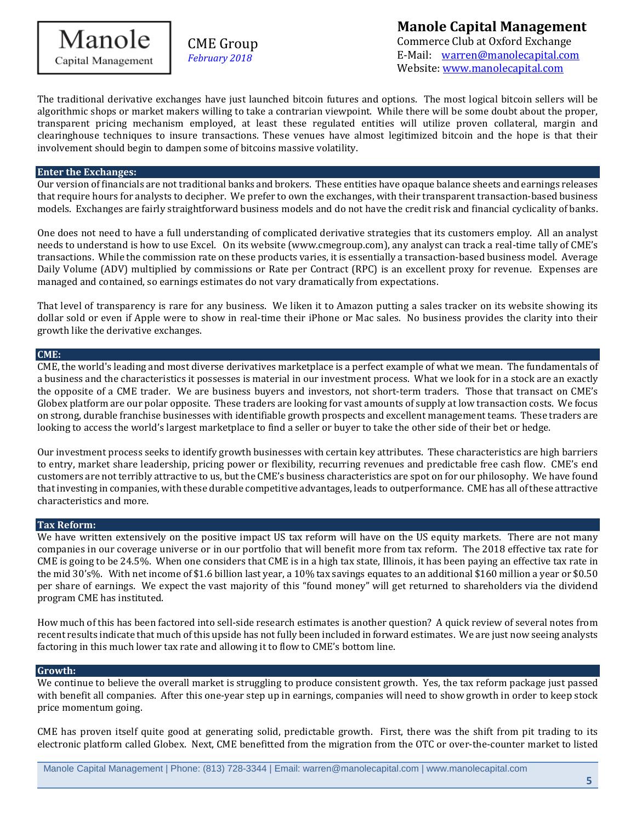

## **Manole Capital Management** Commerce Club at Oxford Exchange E-Mail: [warren@manolecapital.com](mailto:warren@manolecapital.com)

Website: [www.manolecapital.com](http://www.manolecapital.com/) 

The traditional derivative exchanges have just launched bitcoin futures and options. The most logical bitcoin sellers will be algorithmic shops or market makers willing to take a contrarian viewpoint. While there will be some doubt about the proper, transparent pricing mechanism employed, at least these regulated entities will utilize proven collateral, margin and clearinghouse techniques to insure transactions. These venues have almost legitimized bitcoin and the hope is that their involvement should begin to dampen some of bitcoins massive volatility.

### **Enter the Exchanges:**

Our version of financials are not traditional banks and brokers. These entities have opaque balance sheets and earnings releases that require hours for analysts to decipher. We prefer to own the exchanges, with their transparent transaction-based business models. Exchanges are fairly straightforward business models and do not have the credit risk and financial cyclicality of banks.

One does not need to have a full understanding of complicated derivative strategies that its customers employ. All an analyst needs to understand is how to use Excel. On its website (www.cmegroup.com), any analyst can track a real-time tally of CME's transactions. While the commission rate on these products varies, it is essentially a transaction-based business model. Average Daily Volume (ADV) multiplied by commissions or Rate per Contract (RPC) is an excellent proxy for revenue. Expenses are managed and contained, so earnings estimates do not vary dramatically from expectations.

That level of transparency is rare for any business. We liken it to Amazon putting a sales tracker on its website showing its dollar sold or even if Apple were to show in real-time their iPhone or Mac sales. No business provides the clarity into their growth like the derivative exchanges.

### **CME:**

CME, the world's leading and most diverse derivatives marketplace is a perfect example of what we mean. The fundamentals of a business and the characteristics it possesses is material in our investment process. What we look for in a stock are an exactly the opposite of a CME trader. We are business buyers and investors, not short-term traders. Those that transact on CME's Globex platform are our polar opposite. These traders are looking for vast amounts of supply at low transaction costs. We focus on strong, durable franchise businesses with identifiable growth prospects and excellent management teams. These traders are looking to access the world's largest marketplace to find a seller or buyer to take the other side of their bet or hedge.

Our investment process seeks to identify growth businesses with certain key attributes. These characteristics are high barriers to entry, market share leadership, pricing power or flexibility, recurring revenues and predictable free cash flow. CME's end customers are not terribly attractive to us, but the CME's business characteristics are spot on for our philosophy. We have found that investing in companies, with these durable competitive advantages, leads to outperformance. CME has all of these attractive characteristics and more.

### **Tax Reform:**

We have written extensively on the positive impact US tax reform will have on the US equity markets. There are not many companies in our coverage universe or in our portfolio that will benefit more from tax reform. The 2018 effective tax rate for CME is going to be 24.5%. When one considers that CME is in a high tax state, Illinois, it has been paying an effective tax rate in the mid 30's%. With net income of \$1.6 billion last year, a 10% tax savings equates to an additional \$160 million a year or \$0.50 per share of earnings. We expect the vast majority of this "found money" will get returned to shareholders via the dividend program CME has instituted.

How much of this has been factored into sell-side research estimates is another question? A quick review of several notes from recent results indicate that much of this upside has not fully been included in forward estimates. We are just now seeing analysts factoring in this much lower tax rate and allowing it to flow to CME's bottom line.

### **Growth:**

We continue to believe the overall market is struggling to produce consistent growth. Yes, the tax reform package just passed with benefit all companies. After this one-year step up in earnings, companies will need to show growth in order to keep stock price momentum going.

CME has proven itself quite good at generating solid, predictable growth. First, there was the shift from pit trading to its electronic platform called Globex. Next, CME benefitted from the migration from the OTC or over-the-counter market to listed

Manole Capital Management | Phone: (813) 728-3344 | Email: warren@manolecapital.com | www.manolecapital.com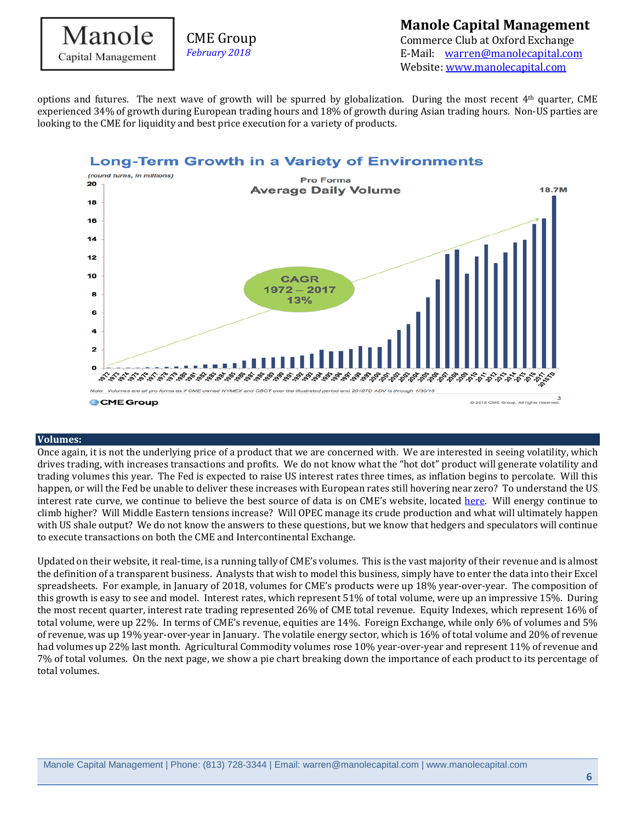

### **Manole Capital Management** Commerce Club at Oxford Exchange

E-Mail: [warren@manolecapital.com](mailto:warren@manolecapital.com) Website: [www.manolecapital.com](http://www.manolecapital.com/) 

options and futures. The next wave of growth will be spurred by globalization. During the most recent 4<sup>th</sup> quarter, CME experienced 34% of growth during European trading hours and 18% of growth during Asian trading hours. Non-US parties are looking to the CME for liquidity and best price execution for a variety of products.

### **Long-Term Growth in a Variety of Environments**



### **Volumes:**

Once again, it is not the underlying price of a product that we are concerned with. We are interested in seeing volatility, which drives trading, with increases transactions and profits. We do not know what the "hot dot" product will generate volatility and trading volumes this year. The Fed is expected to raise US interest rates three times, as inflation begins to percolate. Will this happen, or will the Fed be unable to deliver these increases with European rates still hovering near zero? To understand the US interest rate curve, we continue to believe the best source of data is on CME's website, located [here.](http://www.cmegroup.com/trading/interest-rates/countdown-to-fomc.html) Will energy continue to climb higher? Will Middle Eastern tensions increase? Will OPEC manage its crude production and what will ultimately happen with US shale output? We do not know the answers to these questions, but we know that hedgers and speculators will continue to execute transactions on both the CME and Intercontinental Exchange.

Updated on their website, it real-time, is a running tally of CME's volumes. This is the vast majority of their revenue and is almost the definition of a transparent business. Analysts that wish to model this business, simply have to enter the data into their Excel spreadsheets. For example, in January of 2018, volumes for CME's products were up 18% year-over-year. The composition of this growth is easy to see and model. Interest rates, which represent 51% of total volume, were up an impressive 15%. During the most recent quarter, interest rate trading represented 26% of CME total revenue. Equity Indexes, which represent 16% of total volume, were up 22%. In terms of CME's revenue, equities are 14%. Foreign Exchange, while only 6% of volumes and 5% of revenue, was up 19% year-over-year in January. The volatile energy sector, which is 16% of total volume and 20% of revenue had volumes up 22% last month. Agricultural Commodity volumes rose 10% year-over-year and represent 11% of revenue and 7% of total volumes. On the next page, we show a pie chart breaking down the importance of each product to its percentage of total volumes.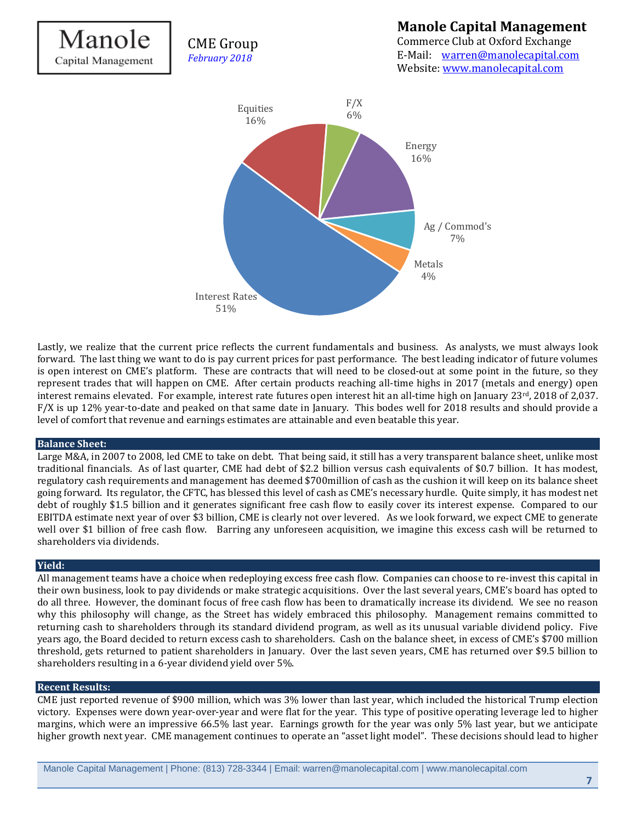

Lastly, we realize that the current price reflects the current fundamentals and business. As analysts, we must always look forward. The last thing we want to do is pay current prices for past performance. The best leading indicator of future volumes is open interest on CME's platform. These are contracts that will need to be closed-out at some point in the future, so they represent trades that will happen on CME. After certain products reaching all-time highs in 2017 (metals and energy) open interest remains elevated. For example, interest rate futures open interest hit an all-time high on January 23rd, 2018 of 2,037. F/X is up 12% year-to-date and peaked on that same date in January. This bodes well for 2018 results and should provide a level of comfort that revenue and earnings estimates are attainable and even beatable this year.

### **Balance Sheet:**

Large M&A, in 2007 to 2008, led CME to take on debt. That being said, it still has a very transparent balance sheet, unlike most traditional financials. As of last quarter, CME had debt of \$2.2 billion versus cash equivalents of \$0.7 billion. It has modest, regulatory cash requirements and management has deemed \$700million of cash as the cushion it will keep on its balance sheet going forward. Its regulator, the CFTC, has blessed this level of cash as CME's necessary hurdle. Quite simply, it has modest net debt of roughly \$1.5 billion and it generates significant free cash flow to easily cover its interest expense. Compared to our EBITDA estimate next year of over \$3 billion, CME is clearly not over levered. As we look forward, we expect CME to generate well over \$1 billion of free cash flow. Barring any unforeseen acquisition, we imagine this excess cash will be returned to shareholders via dividends.

### **Yield:**

All management teams have a choice when redeploying excess free cash flow. Companies can choose to re-invest this capital in their own business, look to pay dividends or make strategic acquisitions. Over the last several years, CME's board has opted to do all three. However, the dominant focus of free cash flow has been to dramatically increase its dividend. We see no reason why this philosophy will change, as the Street has widely embraced this philosophy. Management remains committed to returning cash to shareholders through its standard dividend program, as well as its unusual variable dividend policy. Five years ago, the Board decided to return excess cash to shareholders. Cash on the balance sheet, in excess of CME's \$700 million threshold, gets returned to patient shareholders in January. Over the last seven years, CME has returned over \$9.5 billion to shareholders resulting in a 6-year dividend yield over 5%.

### **Recent Results:**

CME just reported revenue of \$900 million, which was 3% lower than last year, which included the historical Trump election victory. Expenses were down year-over-year and were flat for the year. This type of positive operating leverage led to higher margins, which were an impressive 66.5% last year. Earnings growth for the year was only 5% last year, but we anticipate higher growth next year. CME management continues to operate an "asset light model". These decisions should lead to higher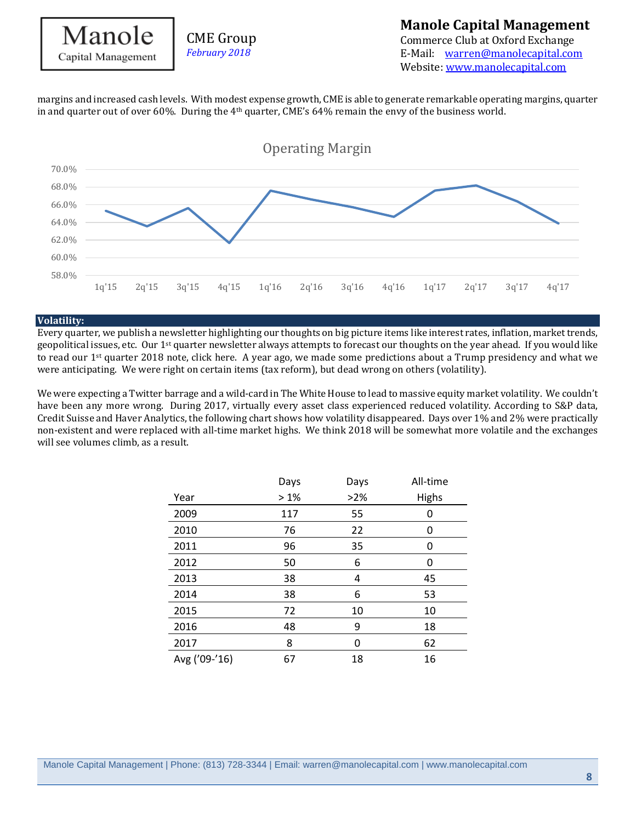# Manole Capital Management

margins and increased cash levels. With modest expense growth, CME is able to generate remarkable operating margins, quarter in and quarter out of over 60%. During the  $4<sup>th</sup>$  quarter, CME's 64% remain the envy of the business world.



### **Volatility:**

Every quarter, we publish a newsletter highlighting our thoughts on big picture items like interest rates, inflation, market trends, geopolitical issues, etc. Our 1st quarter newsletter always attempts to forecast our thoughts on the year ahead. If you would like to read our  $1<sup>st</sup>$  quarter 2018 note, click here. A year ago, we made some predictions about a Trump presidency and what we were anticipating. We were right on certain items (tax reform), but dead wrong on others (volatility).

We were expecting a Twitter barrage and a wild-card in The White House to lead to massive equity market volatility. We couldn't have been any more wrong. During 2017, virtually every asset class experienced reduced volatility. According to S&P data, Credit Suisse and Haver Analytics, the following chart shows how volatility disappeared. Days over 1% and 2% were practically non-existent and were replaced with all-time market highs. We think 2018 will be somewhat more volatile and the exchanges will see volumes climb, as a result.

|               | Days | Days | All-time     |
|---------------|------|------|--------------|
| Year          | >1%  | >2%  | <b>Highs</b> |
| 2009          | 117  | 55   | 0            |
| 2010          | 76   | 22   | 0            |
| 2011          | 96   | 35   | 0            |
| 2012          | 50   | 6    | 0            |
| 2013          | 38   | 4    | 45           |
| 2014          | 38   | 6    | 53           |
| 2015          | 72   | 10   | 10           |
| 2016          | 48   | 9    | 18           |
| 2017          | 8    | 0    | 62           |
| Avg ('09-'16) | 67   | 18   | 16           |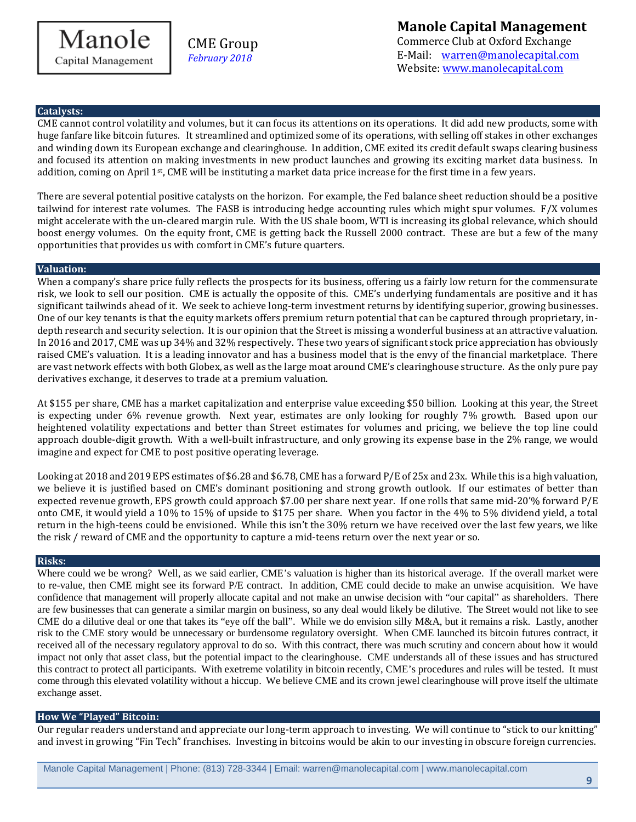**Manole Capital Management** Commerce Club at Oxford Exchange E-Mail: [warren@manolecapital.com](mailto:warren@manolecapital.com) Website: [www.manolecapital.com](http://www.manolecapital.com/) 

### **Catalysts:**

CME cannot control volatility and volumes, but it can focus its attentions on its operations. It did add new products, some with huge fanfare like bitcoin futures. It streamlined and optimized some of its operations, with selling off stakes in other exchanges and winding down its European exchange and clearinghouse. In addition, CME exited its credit default swaps clearing business and focused its attention on making investments in new product launches and growing its exciting market data business. In addition, coming on April 1st, CME will be instituting a market data price increase for the first time in a few years.

There are several potential positive catalysts on the horizon. For example, the Fed balance sheet reduction should be a positive tailwind for interest rate volumes. The FASB is introducing hedge accounting rules which might spur volumes. F/X volumes might accelerate with the un-cleared margin rule. With the US shale boom, WTI is increasing its global relevance, which should boost energy volumes. On the equity front, CME is getting back the Russell 2000 contract. These are but a few of the many opportunities that provides us with comfort in CME's future quarters.

### **Valuation:**

When a company's share price fully reflects the prospects for its business, offering us a fairly low return for the commensurate risk, we look to sell our position. CME is actually the opposite of this. CME's underlying fundamentals are positive and it has significant tailwinds ahead of it. We seek to achieve long-term investment returns by identifying superior, growing businesses. One of our key tenants is that the equity markets offers premium return potential that can be captured through proprietary, indepth research and security selection. It is our opinion that the Street is missing a wonderful business at an attractive valuation. In 2016 and 2017, CME was up 34% and 32% respectively. These two years of significant stock price appreciation has obviously raised CME's valuation. It is a leading innovator and has a business model that is the envy of the financial marketplace. There are vast network effects with both Globex, as well as the large moat around CME's clearinghouse structure. As the only pure pay derivatives exchange, it deserves to trade at a premium valuation.

At \$155 per share, CME has a market capitalization and enterprise value exceeding \$50 billion. Looking at this year, the Street is expecting under 6% revenue growth. Next year, estimates are only looking for roughly 7% growth. Based upon our heightened volatility expectations and better than Street estimates for volumes and pricing, we believe the top line could approach double-digit growth. With a well-built infrastructure, and only growing its expense base in the 2% range, we would imagine and expect for CME to post positive operating leverage.

Looking at 2018 and 2019 EPS estimates of \$6.28 and \$6.78, CME has a forward P/E of 25x and 23x. While this is a high valuation, we believe it is justified based on CME's dominant positioning and strong growth outlook. If our estimates of better than expected revenue growth, EPS growth could approach \$7.00 per share next year. If one rolls that same mid-20'% forward P/E onto CME, it would yield a 10% to 15% of upside to \$175 per share. When you factor in the 4% to 5% dividend yield, a total return in the high-teens could be envisioned. While this isn't the 30% return we have received over the last few years, we like the risk / reward of CME and the opportunity to capture a mid-teens return over the next year or so.

### **Risks:**

Where could we be wrong? Well, as we said earlier, CME's valuation is higher than its historical average. If the overall market were to re-value, then CME might see its forward P/E contract. In addition, CME could decide to make an unwise acquisition. We have confidence that management will properly allocate capital and not make an unwise decision with "our capital" as shareholders. There are few businesses that can generate a similar margin on business, so any deal would likely be dilutive. The Street would not like to see CME do a dilutive deal or one that takes its "eye off the ball". While we do envision silly M&A, but it remains a risk. Lastly, another risk to the CME story would be unnecessary or burdensome regulatory oversight. When CME launched its bitcoin futures contract, it received all of the necessary regulatory approval to do so. With this contract, there was much scrutiny and concern about how it would impact not only that asset class, but the potential impact to the clearinghouse. CME understands all of these issues and has structured this contract to protect all participants. With exetreme volatility in bitcoin recently, CME's procedures and rules will be tested. It must come through this elevated volatility without a hiccup. We believe CME and its crown jewel clearinghouse will prove itself the ultimate exchange asset.

### **How We "Played" Bitcoin:**

Our regular readers understand and appreciate our long-term approach to investing. We will continue to "stick to our knitting" and invest in growing "Fin Tech" franchises. Investing in bitcoins would be akin to our investing in obscure foreign currencies.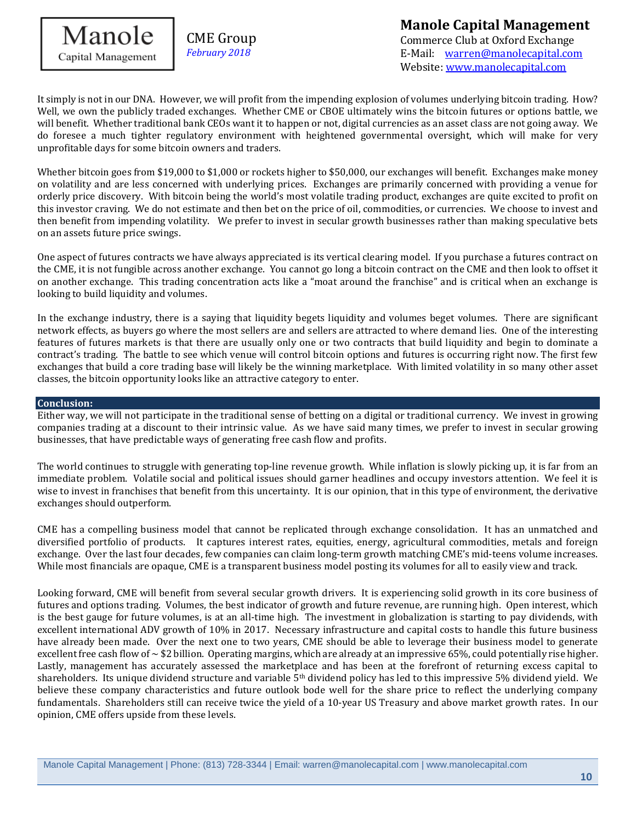

# **Manole Capital Management**

Commerce Club at Oxford Exchange E-Mail: [warren@manolecapital.com](mailto:warren@manolecapital.com) Website: [www.manolecapital.com](http://www.manolecapital.com/) 

It simply is not in our DNA. However, we will profit from the impending explosion of volumes underlying bitcoin trading. How? Well, we own the publicly traded exchanges. Whether CME or CBOE ultimately wins the bitcoin futures or options battle, we will benefit. Whether traditional bank CEOs want it to happen or not, digital currencies as an asset class are not going away. We do foresee a much tighter regulatory environment with heightened governmental oversight, which will make for very unprofitable days for some bitcoin owners and traders.

Whether bitcoin goes from \$19,000 to \$1,000 or rockets higher to \$50,000, our exchanges will benefit. Exchanges make money on volatility and are less concerned with underlying prices. Exchanges are primarily concerned with providing a venue for orderly price discovery. With bitcoin being the world's most volatile trading product, exchanges are quite excited to profit on this investor craving. We do not estimate and then bet on the price of oil, commodities, or currencies. We choose to invest and then benefit from impending volatility. We prefer to invest in secular growth businesses rather than making speculative bets on an assets future price swings.

One aspect of futures contracts we have always appreciated is its vertical clearing model. If you purchase a futures contract on the CME, it is not fungible across another exchange. You cannot go long a bitcoin contract on the CME and then look to offset it on another exchange. This trading concentration acts like a "moat around the franchise" and is critical when an exchange is looking to build liquidity and volumes.

In the exchange industry, there is a saying that liquidity begets liquidity and volumes beget volumes. There are significant network effects, as buyers go where the most sellers are and sellers are attracted to where demand lies. One of the interesting features of futures markets is that there are usually only one or two contracts that build liquidity and begin to dominate a contract's trading. The battle to see which venue will control bitcoin options and futures is occurring right now. The first few exchanges that build a core trading base will likely be the winning marketplace. With limited volatility in so many other asset classes, the bitcoin opportunity looks like an attractive category to enter.

### **Conclusion:**

Either way, we will not participate in the traditional sense of betting on a digital or traditional currency. We invest in growing companies trading at a discount to their intrinsic value. As we have said many times, we prefer to invest in secular growing businesses, that have predictable ways of generating free cash flow and profits.

The world continues to struggle with generating top-line revenue growth. While inflation is slowly picking up, it is far from an immediate problem. Volatile social and political issues should garner headlines and occupy investors attention. We feel it is wise to invest in franchises that benefit from this uncertainty. It is our opinion, that in this type of environment, the derivative exchanges should outperform.

CME has a compelling business model that cannot be replicated through exchange consolidation. It has an unmatched and diversified portfolio of products. It captures interest rates, equities, energy, agricultural commodities, metals and foreign exchange. Over the last four decades, few companies can claim long-term growth matching CME's mid-teens volume increases. While most financials are opaque, CME is a transparent business model posting its volumes for all to easily view and track.

Looking forward, CME will benefit from several secular growth drivers. It is experiencing solid growth in its core business of futures and options trading. Volumes, the best indicator of growth and future revenue, are running high. Open interest, which is the best gauge for future volumes, is at an all-time high. The investment in globalization is starting to pay dividends, with excellent international ADV growth of 10% in 2017. Necessary infrastructure and capital costs to handle this future business have already been made. Over the next one to two years, CME should be able to leverage their business model to generate excellent free cash flow of  $\sim$  \$2 billion. Operating margins, which are already at an impressive 65%, could potentially rise higher. Lastly, management has accurately assessed the marketplace and has been at the forefront of returning excess capital to shareholders. Its unique dividend structure and variable 5th dividend policy has led to this impressive 5% dividend yield. We believe these company characteristics and future outlook bode well for the share price to reflect the underlying company fundamentals. Shareholders still can receive twice the yield of a 10-year US Treasury and above market growth rates. In our opinion, CME offers upside from these levels.